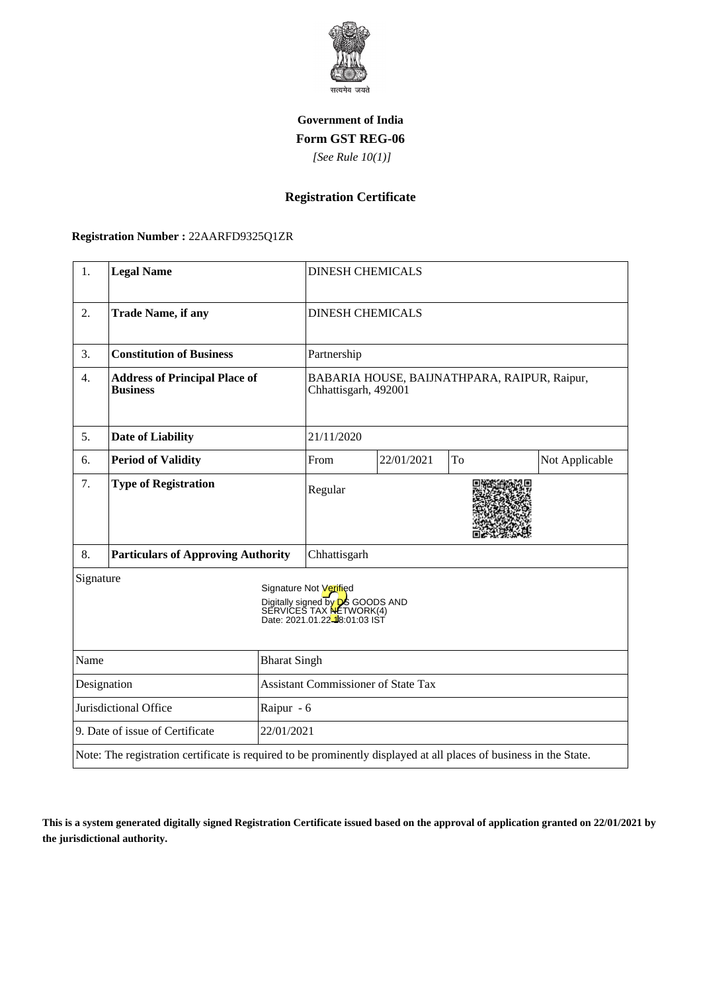

## **Government of India Form GST REG-06**

 *[See Rule 10(1)]*

# **Registration Certificate**

## **Registration Number :** 22AARFD9325Q1ZR

| 1.                                            | <b>Legal Name</b>                                                                                                  |                                     | <b>DINESH CHEMICALS</b>                                                                                                                        |            |    |                |
|-----------------------------------------------|--------------------------------------------------------------------------------------------------------------------|-------------------------------------|------------------------------------------------------------------------------------------------------------------------------------------------|------------|----|----------------|
| 2.                                            | <b>Trade Name, if any</b>                                                                                          |                                     | <b>DINESH CHEMICALS</b>                                                                                                                        |            |    |                |
| 3.                                            | <b>Constitution of Business</b>                                                                                    |                                     | Partnership                                                                                                                                    |            |    |                |
| 4.                                            | <b>Address of Principal Place of</b><br><b>Business</b>                                                            |                                     | BABARIA HOUSE, BAIJNATHPARA, RAIPUR, Raipur,<br>Chhattisgarh, 492001                                                                           |            |    |                |
| 5.                                            | <b>Date of Liability</b>                                                                                           |                                     | 21/11/2020                                                                                                                                     |            |    |                |
| 6.                                            | <b>Period of Validity</b>                                                                                          |                                     | From                                                                                                                                           | 22/01/2021 | To | Not Applicable |
| 7.                                            | <b>Type of Registration</b>                                                                                        |                                     | Regular                                                                                                                                        |            |    |                |
| 8.                                            | <b>Particulars of Approving Authority</b>                                                                          |                                     | Chhattisgarh                                                                                                                                   |            |    |                |
| Signature                                     |                                                                                                                    |                                     | Signature Not Verified<br>Digitally signed by D <sub>6</sub> GOODS AND<br>SERVICES TAX NETWORK(4)<br>Date: 2021.01.22 <sup>18</sup> :01:03 IST |            |    |                |
| Name<br><b>Bharat Singh</b>                   |                                                                                                                    |                                     |                                                                                                                                                |            |    |                |
| Designation                                   |                                                                                                                    | Assistant Commissioner of State Tax |                                                                                                                                                |            |    |                |
| Jurisdictional Office<br>Raipur - 6           |                                                                                                                    |                                     |                                                                                                                                                |            |    |                |
| 9. Date of issue of Certificate<br>22/01/2021 |                                                                                                                    |                                     |                                                                                                                                                |            |    |                |
|                                               | Note: The registration certificate is required to be prominently displayed at all places of business in the State. |                                     |                                                                                                                                                |            |    |                |

**This is a system generated digitally signed Registration Certificate issued based on the approval of application granted on 22/01/2021 by the jurisdictional authority.**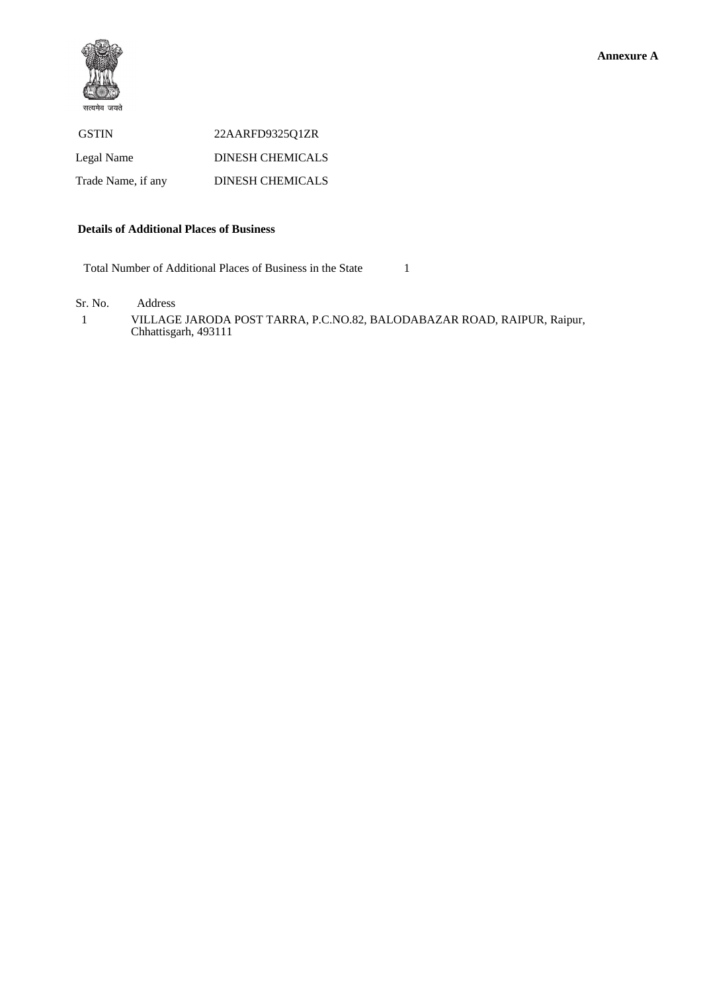

| <b>GSTIN</b>       | 22AARFD932501ZR         |
|--------------------|-------------------------|
| Legal Name         | <b>DINESH CHEMICALS</b> |
| Trade Name, if any | <b>DINESH CHEMICALS</b> |

#### **Details of Additional Places of Business**

Total Number of Additional Places of Business in the State 1

Sr. No. Address

 1 VILLAGE JARODA POST TARRA, P.C.NO.82, BALODABAZAR ROAD, RAIPUR, Raipur, Chhattisgarh, 493111